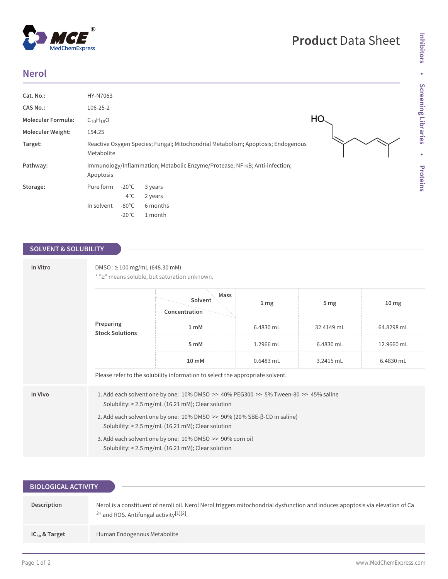## **Nerol**

 $^{\circledR}$ 

MedChemExpress

| Cat. No.:                 | HY-N7063                                                                                       |
|---------------------------|------------------------------------------------------------------------------------------------|
| <b>CAS No.:</b>           | 106-25-2                                                                                       |
| <b>Molecular Formula:</b> | НС<br>$C_{10}H_{18}O$                                                                          |
| <b>Molecular Weight:</b>  | 154.25                                                                                         |
| Target:                   | Reactive Oxygen Species; Fungal; Mitochondrial Metabolism; Apoptosis; Endogenous<br>Metabolite |
| Pathway:                  | Immunology/Inflammation; Metabolic Enzyme/Protease; NF-KB; Anti-infection;<br>Apoptosis        |
| Storage:                  | Pure form<br>$-20^{\circ}$ C<br>3 years<br>$4^{\circ}$ C<br>2 years                            |
|                           | $-80^{\circ}$ C<br>In solvent<br>6 months<br>$-20^{\circ}$ C<br>1 month                        |

## **SOLVENT & SOLUBILITY**

| In Vitro | $DMSO: \geq 100$ mg/mL (648.30 mM)<br>* ">" means soluble, but saturation unknown.                                                             |                                                                               |                 |                 |                 |  |  |
|----------|------------------------------------------------------------------------------------------------------------------------------------------------|-------------------------------------------------------------------------------|-----------------|-----------------|-----------------|--|--|
|          | Preparing<br><b>Stock Solutions</b>                                                                                                            | Mass<br>Solvent<br>Concentration                                              | 1 <sub>mg</sub> | 5 <sub>mg</sub> | $10 \text{ mg}$ |  |  |
|          |                                                                                                                                                | 1 <sub>mM</sub>                                                               | 6.4830 mL       | 32.4149 mL      | 64.8298 mL      |  |  |
|          |                                                                                                                                                | 5 mM                                                                          | 1.2966 mL       | 6.4830 mL       | 12.9660 mL      |  |  |
|          |                                                                                                                                                | 10 mM                                                                         | $0.6483$ mL     | 3.2415 mL       | 6.4830 mL       |  |  |
|          |                                                                                                                                                | Please refer to the solubility information to select the appropriate solvent. |                 |                 |                 |  |  |
| In Vivo  | 1. Add each solvent one by one: 10% DMSO >> 40% PEG300 >> 5% Tween-80 >> 45% saline<br>Solubility: $\geq$ 2.5 mg/mL (16.21 mM); Clear solution |                                                                               |                 |                 |                 |  |  |
|          | 2. Add each solvent one by one: 10% DMSO >> 90% (20% SBE-β-CD in saline)<br>Solubility: $\geq$ 2.5 mg/mL (16.21 mM); Clear solution            |                                                                               |                 |                 |                 |  |  |
|          | 3. Add each solvent one by one: 10% DMSO >> 90% corn oil<br>Solubility: $\geq$ 2.5 mg/mL (16.21 mM); Clear solution                            |                                                                               |                 |                 |                 |  |  |

| <b>BIOLOGICAL ACTIVITY</b> |                                                                                                                                                                                         |  |  |  |  |
|----------------------------|-----------------------------------------------------------------------------------------------------------------------------------------------------------------------------------------|--|--|--|--|
|                            |                                                                                                                                                                                         |  |  |  |  |
| Description                | Nerol is a constituent of neroli oil. Nerol Nerol triggers mitochondrial dysfunction and induces apoptosis via elevation of Ca<br>$2+$ and ROS. Antifungal activity <sup>[1][2]</sup> . |  |  |  |  |
| $IC_{50}$ & Target         | Human Endogenous Metabolite                                                                                                                                                             |  |  |  |  |